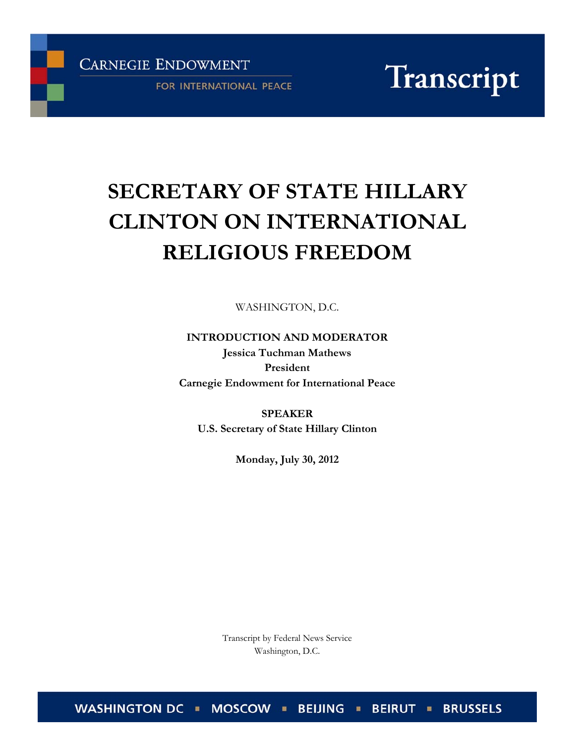**CARNEGIE ENDOWMENT** 

FOR INTERNATIONAL PEACE

Transcript

# **SECRETARY OF STATE HILLARY CLINTON ON INTERNATIONAL RELIGIOUS FREEDOM**

WASHINGTON, D.C.

## **INTRODUCTION AND MODERATOR**

**Jessica Tuchman Mathews President Carnegie Endowment for International Peace** 

**SPEAKER U.S. Secretary of State Hillary Clinton** 

**Monday, July 30, 2012** 

Transcript by Federal News Service Washington, D.C.

WASHINGTON DC = MOSCOW = BEIJING = **BEIRUT - BRUSSELS**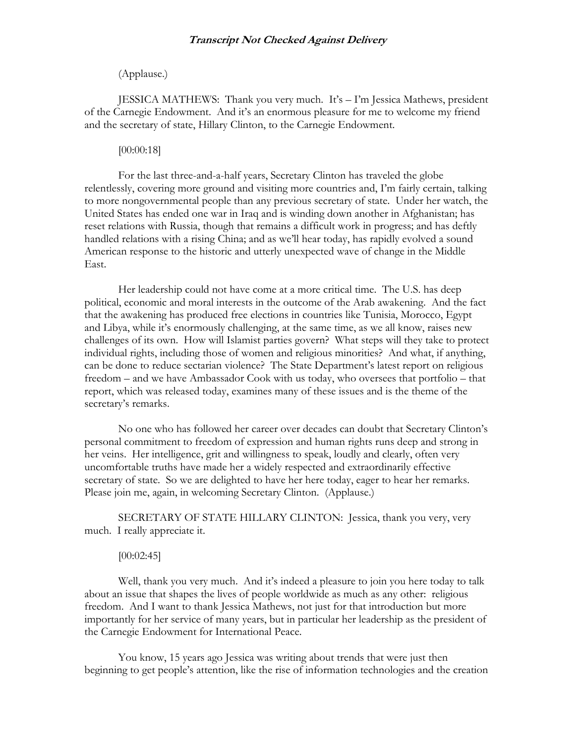#### (Applause.)

JESSICA MATHEWS: Thank you very much. It's – I'm Jessica Mathews, president of the Carnegie Endowment. And it's an enormous pleasure for me to welcome my friend and the secretary of state, Hillary Clinton, to the Carnegie Endowment.

## [00:00:18]

For the last three-and-a-half years, Secretary Clinton has traveled the globe relentlessly, covering more ground and visiting more countries and, I'm fairly certain, talking to more nongovernmental people than any previous secretary of state. Under her watch, the United States has ended one war in Iraq and is winding down another in Afghanistan; has reset relations with Russia, though that remains a difficult work in progress; and has deftly handled relations with a rising China; and as we'll hear today, has rapidly evolved a sound American response to the historic and utterly unexpected wave of change in the Middle East.

Her leadership could not have come at a more critical time. The U.S. has deep political, economic and moral interests in the outcome of the Arab awakening. And the fact that the awakening has produced free elections in countries like Tunisia, Morocco, Egypt and Libya, while it's enormously challenging, at the same time, as we all know, raises new challenges of its own. How will Islamist parties govern? What steps will they take to protect individual rights, including those of women and religious minorities? And what, if anything, can be done to reduce sectarian violence? The State Department's latest report on religious freedom – and we have Ambassador Cook with us today, who oversees that portfolio – that report, which was released today, examines many of these issues and is the theme of the secretary's remarks.

No one who has followed her career over decades can doubt that Secretary Clinton's personal commitment to freedom of expression and human rights runs deep and strong in her veins. Her intelligence, grit and willingness to speak, loudly and clearly, often very uncomfortable truths have made her a widely respected and extraordinarily effective secretary of state. So we are delighted to have her here today, eager to hear her remarks. Please join me, again, in welcoming Secretary Clinton. (Applause.)

SECRETARY OF STATE HILLARY CLINTON: Jessica, thank you very, very much. I really appreciate it.

#### [00:02:45]

Well, thank you very much. And it's indeed a pleasure to join you here today to talk about an issue that shapes the lives of people worldwide as much as any other: religious freedom. And I want to thank Jessica Mathews, not just for that introduction but more importantly for her service of many years, but in particular her leadership as the president of the Carnegie Endowment for International Peace.

You know, 15 years ago Jessica was writing about trends that were just then beginning to get people's attention, like the rise of information technologies and the creation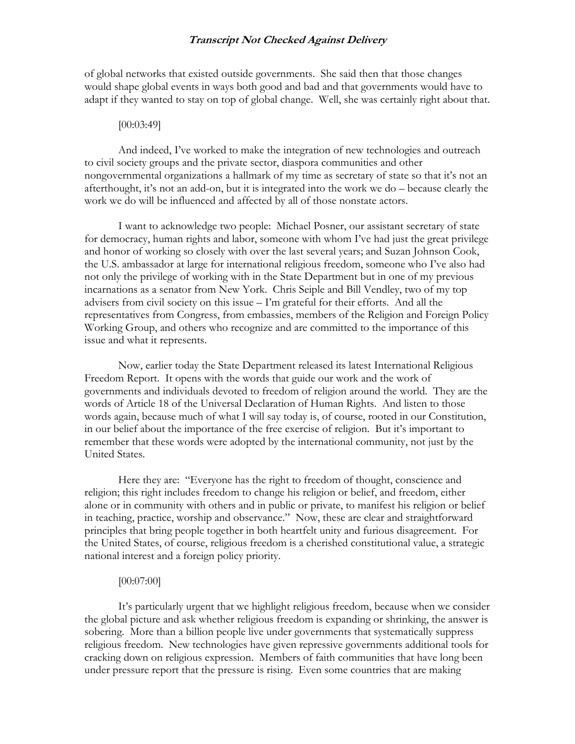of global networks that existed outside governments. She said then that those changes would shape global events in ways both good and bad and that governments would have to adapt if they wanted to stay on top of global change. Well, she was certainly right about that.

#### [00:03:49]

And indeed, I've worked to make the integration of new technologies and outreach to civil society groups and the private sector, diaspora communities and other nongovernmental organizations a hallmark of my time as secretary of state so that it's not an afterthought, it's not an add-on, but it is integrated into the work we do – because clearly the work we do will be influenced and affected by all of those nonstate actors.

I want to acknowledge two people: Michael Posner, our assistant secretary of state for democracy, human rights and labor, someone with whom I've had just the great privilege and honor of working so closely with over the last several years; and Suzan Johnson Cook, the U.S. ambassador at large for international religious freedom, someone who I've also had not only the privilege of working with in the State Department but in one of my previous incarnations as a senator from New York. Chris Seiple and Bill Vendley, two of my top advisers from civil society on this issue – I'm grateful for their efforts. And all the representatives from Congress, from embassies, members of the Religion and Foreign Policy Working Group, and others who recognize and are committed to the importance of this issue and what it represents.

Now, earlier today the State Department released its latest International Religious Freedom Report. It opens with the words that guide our work and the work of governments and individuals devoted to freedom of religion around the world. They are the words of Article 18 of the Universal Declaration of Human Rights. And listen to those words again, because much of what I will say today is, of course, rooted in our Constitution, in our belief about the importance of the free exercise of religion. But it's important to remember that these words were adopted by the international community, not just by the United States.

Here they are: "Everyone has the right to freedom of thought, conscience and religion; this right includes freedom to change his religion or belief, and freedom, either alone or in community with others and in public or private, to manifest his religion or belief in teaching, practice, worship and observance." Now, these are clear and straightforward principles that bring people together in both heartfelt unity and furious disagreement. For the United States, of course, religious freedom is a cherished constitutional value, a strategic national interest and a foreign policy priority.

#### [00:07:00]

It's particularly urgent that we highlight religious freedom, because when we consider the global picture and ask whether religious freedom is expanding or shrinking, the answer is sobering. More than a billion people live under governments that systematically suppress religious freedom. New technologies have given repressive governments additional tools for cracking down on religious expression. Members of faith communities that have long been under pressure report that the pressure is rising. Even some countries that are making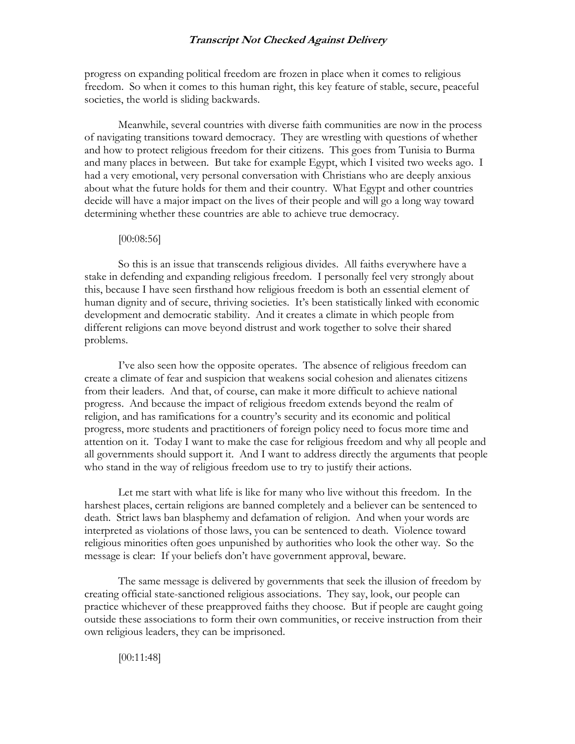progress on expanding political freedom are frozen in place when it comes to religious freedom. So when it comes to this human right, this key feature of stable, secure, peaceful societies, the world is sliding backwards.

Meanwhile, several countries with diverse faith communities are now in the process of navigating transitions toward democracy. They are wrestling with questions of whether and how to protect religious freedom for their citizens. This goes from Tunisia to Burma and many places in between. But take for example Egypt, which I visited two weeks ago. I had a very emotional, very personal conversation with Christians who are deeply anxious about what the future holds for them and their country. What Egypt and other countries decide will have a major impact on the lives of their people and will go a long way toward determining whether these countries are able to achieve true democracy.

#### [00:08:56]

So this is an issue that transcends religious divides. All faiths everywhere have a stake in defending and expanding religious freedom. I personally feel very strongly about this, because I have seen firsthand how religious freedom is both an essential element of human dignity and of secure, thriving societies. It's been statistically linked with economic development and democratic stability. And it creates a climate in which people from different religions can move beyond distrust and work together to solve their shared problems.

I've also seen how the opposite operates. The absence of religious freedom can create a climate of fear and suspicion that weakens social cohesion and alienates citizens from their leaders. And that, of course, can make it more difficult to achieve national progress. And because the impact of religious freedom extends beyond the realm of religion, and has ramifications for a country's security and its economic and political progress, more students and practitioners of foreign policy need to focus more time and attention on it. Today I want to make the case for religious freedom and why all people and all governments should support it. And I want to address directly the arguments that people who stand in the way of religious freedom use to try to justify their actions.

Let me start with what life is like for many who live without this freedom. In the harshest places, certain religions are banned completely and a believer can be sentenced to death. Strict laws ban blasphemy and defamation of religion. And when your words are interpreted as violations of those laws, you can be sentenced to death. Violence toward religious minorities often goes unpunished by authorities who look the other way. So the message is clear: If your beliefs don't have government approval, beware.

The same message is delivered by governments that seek the illusion of freedom by creating official state-sanctioned religious associations. They say, look, our people can practice whichever of these preapproved faiths they choose. But if people are caught going outside these associations to form their own communities, or receive instruction from their own religious leaders, they can be imprisoned.

[00:11:48]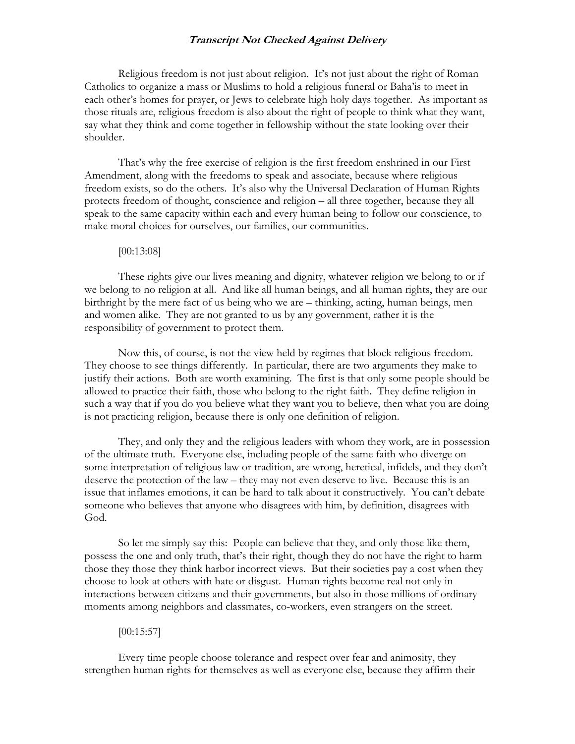Religious freedom is not just about religion. It's not just about the right of Roman Catholics to organize a mass or Muslims to hold a religious funeral or Baha'is to meet in each other's homes for prayer, or Jews to celebrate high holy days together. As important as those rituals are, religious freedom is also about the right of people to think what they want, say what they think and come together in fellowship without the state looking over their shoulder.

That's why the free exercise of religion is the first freedom enshrined in our First Amendment, along with the freedoms to speak and associate, because where religious freedom exists, so do the others. It's also why the Universal Declaration of Human Rights protects freedom of thought, conscience and religion – all three together, because they all speak to the same capacity within each and every human being to follow our conscience, to make moral choices for ourselves, our families, our communities.

#### [00:13:08]

These rights give our lives meaning and dignity, whatever religion we belong to or if we belong to no religion at all. And like all human beings, and all human rights, they are our birthright by the mere fact of us being who we are – thinking, acting, human beings, men and women alike. They are not granted to us by any government, rather it is the responsibility of government to protect them.

Now this, of course, is not the view held by regimes that block religious freedom. They choose to see things differently. In particular, there are two arguments they make to justify their actions. Both are worth examining. The first is that only some people should be allowed to practice their faith, those who belong to the right faith. They define religion in such a way that if you do you believe what they want you to believe, then what you are doing is not practicing religion, because there is only one definition of religion.

They, and only they and the religious leaders with whom they work, are in possession of the ultimate truth. Everyone else, including people of the same faith who diverge on some interpretation of religious law or tradition, are wrong, heretical, infidels, and they don't deserve the protection of the law – they may not even deserve to live. Because this is an issue that inflames emotions, it can be hard to talk about it constructively. You can't debate someone who believes that anyone who disagrees with him, by definition, disagrees with God.

So let me simply say this: People can believe that they, and only those like them, possess the one and only truth, that's their right, though they do not have the right to harm those they those they think harbor incorrect views. But their societies pay a cost when they choose to look at others with hate or disgust. Human rights become real not only in interactions between citizens and their governments, but also in those millions of ordinary moments among neighbors and classmates, co-workers, even strangers on the street.

## [00:15:57]

Every time people choose tolerance and respect over fear and animosity, they strengthen human rights for themselves as well as everyone else, because they affirm their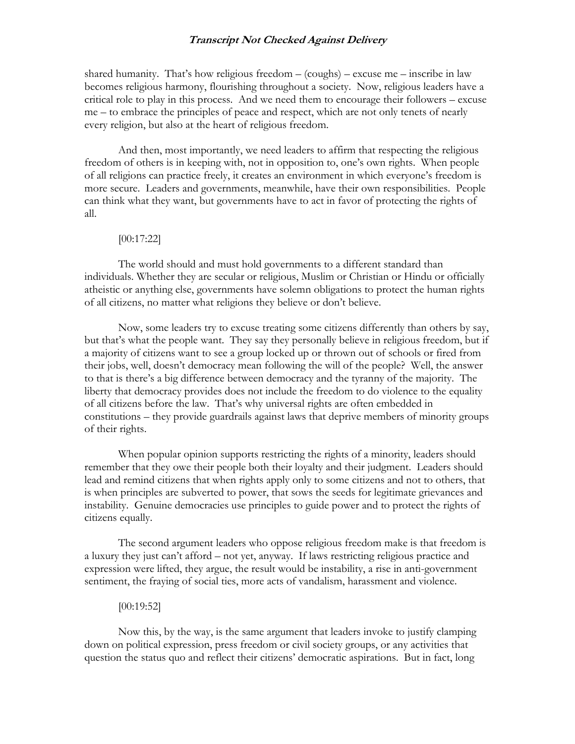shared humanity. That's how religious freedom  $-$  (coughs)  $-$  excuse me  $-$  inscribe in law becomes religious harmony, flourishing throughout a society. Now, religious leaders have a critical role to play in this process. And we need them to encourage their followers – excuse me – to embrace the principles of peace and respect, which are not only tenets of nearly every religion, but also at the heart of religious freedom.

And then, most importantly, we need leaders to affirm that respecting the religious freedom of others is in keeping with, not in opposition to, one's own rights. When people of all religions can practice freely, it creates an environment in which everyone's freedom is more secure. Leaders and governments, meanwhile, have their own responsibilities. People can think what they want, but governments have to act in favor of protecting the rights of all.

## [00:17:22]

The world should and must hold governments to a different standard than individuals. Whether they are secular or religious, Muslim or Christian or Hindu or officially atheistic or anything else, governments have solemn obligations to protect the human rights of all citizens, no matter what religions they believe or don't believe.

Now, some leaders try to excuse treating some citizens differently than others by say, but that's what the people want. They say they personally believe in religious freedom, but if a majority of citizens want to see a group locked up or thrown out of schools or fired from their jobs, well, doesn't democracy mean following the will of the people? Well, the answer to that is there's a big difference between democracy and the tyranny of the majority. The liberty that democracy provides does not include the freedom to do violence to the equality of all citizens before the law. That's why universal rights are often embedded in constitutions – they provide guardrails against laws that deprive members of minority groups of their rights.

When popular opinion supports restricting the rights of a minority, leaders should remember that they owe their people both their loyalty and their judgment. Leaders should lead and remind citizens that when rights apply only to some citizens and not to others, that is when principles are subverted to power, that sows the seeds for legitimate grievances and instability. Genuine democracies use principles to guide power and to protect the rights of citizens equally.

The second argument leaders who oppose religious freedom make is that freedom is a luxury they just can't afford – not yet, anyway. If laws restricting religious practice and expression were lifted, they argue, the result would be instability, a rise in anti-government sentiment, the fraying of social ties, more acts of vandalism, harassment and violence.

#### [00:19:52]

Now this, by the way, is the same argument that leaders invoke to justify clamping down on political expression, press freedom or civil society groups, or any activities that question the status quo and reflect their citizens' democratic aspirations. But in fact, long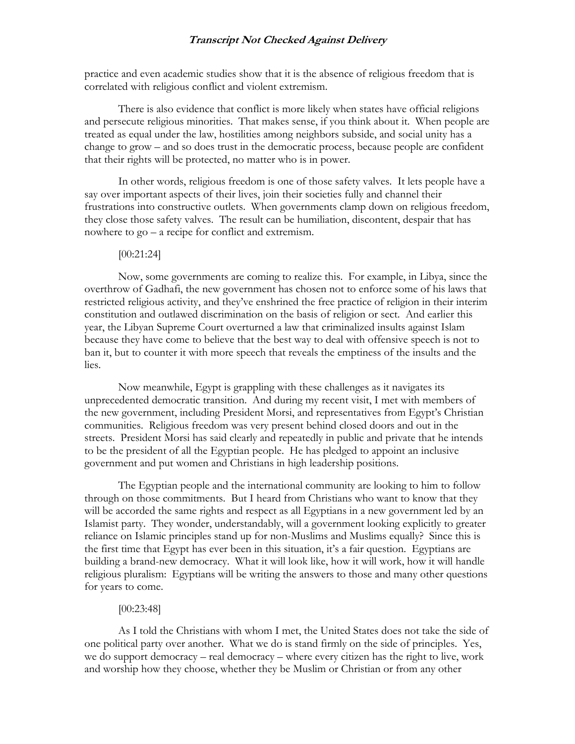practice and even academic studies show that it is the absence of religious freedom that is correlated with religious conflict and violent extremism.

 There is also evidence that conflict is more likely when states have official religions and persecute religious minorities. That makes sense, if you think about it. When people are treated as equal under the law, hostilities among neighbors subside, and social unity has a change to grow – and so does trust in the democratic process, because people are confident that their rights will be protected, no matter who is in power.

 In other words, religious freedom is one of those safety valves. It lets people have a say over important aspects of their lives, join their societies fully and channel their frustrations into constructive outlets. When governments clamp down on religious freedom, they close those safety valves. The result can be humiliation, discontent, despair that has nowhere to go – a recipe for conflict and extremism.

#### [00:21:24]

 Now, some governments are coming to realize this. For example, in Libya, since the overthrow of Gadhafi, the new government has chosen not to enforce some of his laws that restricted religious activity, and they've enshrined the free practice of religion in their interim constitution and outlawed discrimination on the basis of religion or sect. And earlier this year, the Libyan Supreme Court overturned a law that criminalized insults against Islam because they have come to believe that the best way to deal with offensive speech is not to ban it, but to counter it with more speech that reveals the emptiness of the insults and the lies.

Now meanwhile, Egypt is grappling with these challenges as it navigates its unprecedented democratic transition. And during my recent visit, I met with members of the new government, including President Morsi, and representatives from Egypt's Christian communities. Religious freedom was very present behind closed doors and out in the streets. President Morsi has said clearly and repeatedly in public and private that he intends to be the president of all the Egyptian people. He has pledged to appoint an inclusive government and put women and Christians in high leadership positions.

 The Egyptian people and the international community are looking to him to follow through on those commitments. But I heard from Christians who want to know that they will be accorded the same rights and respect as all Egyptians in a new government led by an Islamist party. They wonder, understandably, will a government looking explicitly to greater reliance on Islamic principles stand up for non-Muslims and Muslims equally? Since this is the first time that Egypt has ever been in this situation, it's a fair question. Egyptians are building a brand-new democracy. What it will look like, how it will work, how it will handle religious pluralism: Egyptians will be writing the answers to those and many other questions for years to come.

## [00:23:48]

 As I told the Christians with whom I met, the United States does not take the side of one political party over another. What we do is stand firmly on the side of principles. Yes, we do support democracy – real democracy – where every citizen has the right to live, work and worship how they choose, whether they be Muslim or Christian or from any other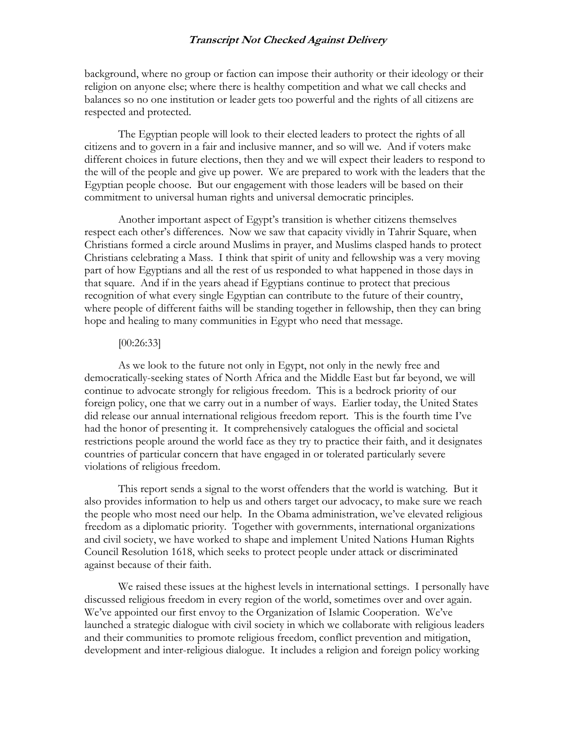background, where no group or faction can impose their authority or their ideology or their religion on anyone else; where there is healthy competition and what we call checks and balances so no one institution or leader gets too powerful and the rights of all citizens are respected and protected.

The Egyptian people will look to their elected leaders to protect the rights of all citizens and to govern in a fair and inclusive manner, and so will we. And if voters make different choices in future elections, then they and we will expect their leaders to respond to the will of the people and give up power. We are prepared to work with the leaders that the Egyptian people choose. But our engagement with those leaders will be based on their commitment to universal human rights and universal democratic principles.

 Another important aspect of Egypt's transition is whether citizens themselves respect each other's differences. Now we saw that capacity vividly in Tahrir Square, when Christians formed a circle around Muslims in prayer, and Muslims clasped hands to protect Christians celebrating a Mass. I think that spirit of unity and fellowship was a very moving part of how Egyptians and all the rest of us responded to what happened in those days in that square. And if in the years ahead if Egyptians continue to protect that precious recognition of what every single Egyptian can contribute to the future of their country, where people of different faiths will be standing together in fellowship, then they can bring hope and healing to many communities in Egypt who need that message.

## [00:26:33]

 As we look to the future not only in Egypt, not only in the newly free and democratically-seeking states of North Africa and the Middle East but far beyond, we will continue to advocate strongly for religious freedom. This is a bedrock priority of our foreign policy, one that we carry out in a number of ways. Earlier today, the United States did release our annual international religious freedom report. This is the fourth time I've had the honor of presenting it. It comprehensively catalogues the official and societal restrictions people around the world face as they try to practice their faith, and it designates countries of particular concern that have engaged in or tolerated particularly severe violations of religious freedom.

 This report sends a signal to the worst offenders that the world is watching. But it also provides information to help us and others target our advocacy, to make sure we reach the people who most need our help. In the Obama administration, we've elevated religious freedom as a diplomatic priority. Together with governments, international organizations and civil society, we have worked to shape and implement United Nations Human Rights Council Resolution 1618, which seeks to protect people under attack or discriminated against because of their faith.

 We raised these issues at the highest levels in international settings. I personally have discussed religious freedom in every region of the world, sometimes over and over again. We've appointed our first envoy to the Organization of Islamic Cooperation. We've launched a strategic dialogue with civil society in which we collaborate with religious leaders and their communities to promote religious freedom, conflict prevention and mitigation, development and inter-religious dialogue. It includes a religion and foreign policy working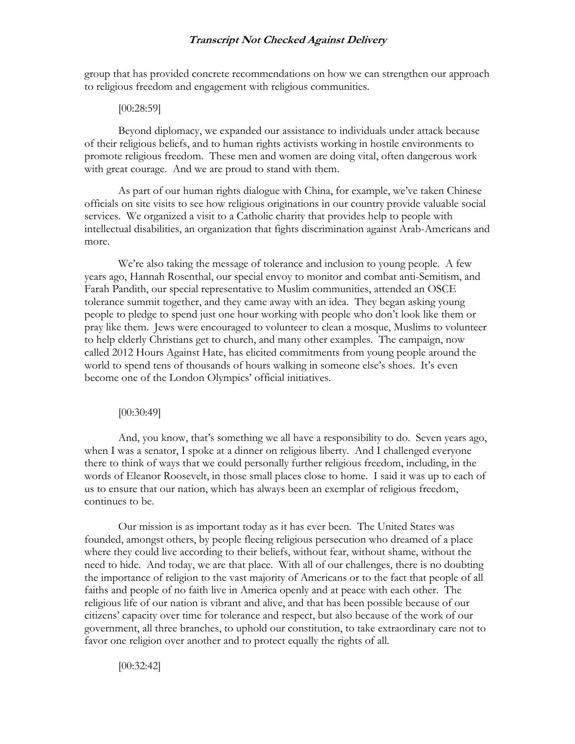group that has provided concrete recommendations on how we can strengthen our approach to religious freedom and engagement with religious communities.

#### [00:28:59]

Beyond diplomacy, we expanded our assistance to individuals under attack because of their religious beliefs, and to human rights activists working in hostile environments to promote religious freedom. These men and women are doing vital, often dangerous work with great courage. And we are proud to stand with them.

As part of our human rights dialogue with China, for example, we've taken Chinese officials on site visits to see how religious originations in our country provide valuable social services. We organized a visit to a Catholic charity that provides help to people with intellectual disabilities, an organization that fights discrimination against Arab-Americans and more.

We're also taking the message of tolerance and inclusion to young people. A few years ago, Hannah Rosenthal, our special envoy to monitor and combat anti-Semitism, and Farah Pandith, our special representative to Muslim communities, attended an OSCE tolerance summit together, and they came away with an idea. They began asking young people to pledge to spend just one hour working with people who don't look like them or pray like them. Jews were encouraged to volunteer to clean a mosque, Muslims to volunteer to help elderly Christians get to church, and many other examples. The campaign, now called 2012 Hours Against Hate, has elicited commitments from young people around the world to spend tens of thousands of hours walking in someone else's shoes. It's even become one of the London Olympics' official initiatives.

[00:30:49]

And, you know, that's something we all have a responsibility to do. Seven years ago, when I was a senator, I spoke at a dinner on religious liberty. And I challenged everyone there to think of ways that we could personally further religious freedom, including, in the words of Eleanor Roosevelt, in those small places close to home. I said it was up to each of us to ensure that our nation, which has always been an exemplar of religious freedom, continues to be.

Our mission is as important today as it has ever been. The United States was founded, amongst others, by people fleeing religious persecution who dreamed of a place where they could live according to their beliefs, without fear, without shame, without the need to hide. And today, we are that place. With all of our challenges, there is no doubting the importance of religion to the vast majority of Americans or to the fact that people of all faiths and people of no faith live in America openly and at peace with each other. The religious life of our nation is vibrant and alive, and that has been possible because of our citizens' capacity over time for tolerance and respect, but also because of the work of our government, all three branches, to uphold our constitution, to take extraordinary care not to favor one religion over another and to protect equally the rights of all.

[00:32:42]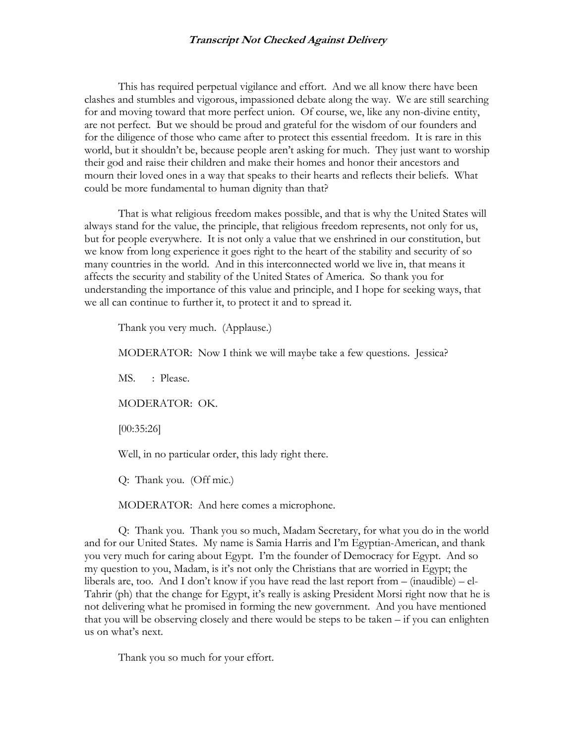This has required perpetual vigilance and effort. And we all know there have been clashes and stumbles and vigorous, impassioned debate along the way. We are still searching for and moving toward that more perfect union. Of course, we, like any non-divine entity, are not perfect. But we should be proud and grateful for the wisdom of our founders and for the diligence of those who came after to protect this essential freedom. It is rare in this world, but it shouldn't be, because people aren't asking for much. They just want to worship their god and raise their children and make their homes and honor their ancestors and mourn their loved ones in a way that speaks to their hearts and reflects their beliefs. What could be more fundamental to human dignity than that?

That is what religious freedom makes possible, and that is why the United States will always stand for the value, the principle, that religious freedom represents, not only for us, but for people everywhere. It is not only a value that we enshrined in our constitution, but we know from long experience it goes right to the heart of the stability and security of so many countries in the world. And in this interconnected world we live in, that means it affects the security and stability of the United States of America. So thank you for understanding the importance of this value and principle, and I hope for seeking ways, that we all can continue to further it, to protect it and to spread it.

Thank you very much. (Applause.)

MODERATOR: Now I think we will maybe take a few questions. Jessica?

MS. : Please.

MODERATOR: OK.

[00:35:26]

Well, in no particular order, this lady right there.

Q: Thank you. (Off mic.)

MODERATOR: And here comes a microphone.

Q: Thank you. Thank you so much, Madam Secretary, for what you do in the world and for our United States. My name is Samia Harris and I'm Egyptian-American, and thank you very much for caring about Egypt. I'm the founder of Democracy for Egypt. And so my question to you, Madam, is it's not only the Christians that are worried in Egypt; the liberals are, too. And I don't know if you have read the last report from  $-$  (inaudible)  $-$  el-Tahrir (ph) that the change for Egypt, it's really is asking President Morsi right now that he is not delivering what he promised in forming the new government. And you have mentioned that you will be observing closely and there would be steps to be taken – if you can enlighten us on what's next.

Thank you so much for your effort.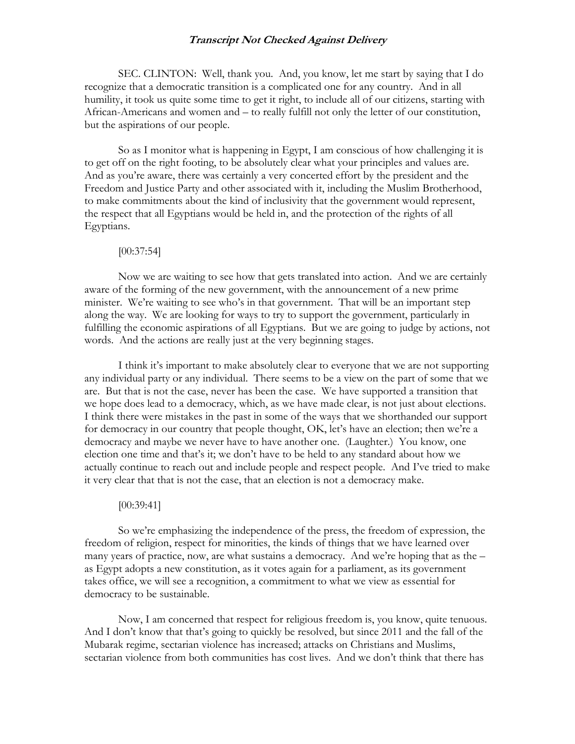SEC. CLINTON: Well, thank you. And, you know, let me start by saying that I do recognize that a democratic transition is a complicated one for any country. And in all humility, it took us quite some time to get it right, to include all of our citizens, starting with African-Americans and women and – to really fulfill not only the letter of our constitution, but the aspirations of our people.

So as I monitor what is happening in Egypt, I am conscious of how challenging it is to get off on the right footing, to be absolutely clear what your principles and values are. And as you're aware, there was certainly a very concerted effort by the president and the Freedom and Justice Party and other associated with it, including the Muslim Brotherhood, to make commitments about the kind of inclusivity that the government would represent, the respect that all Egyptians would be held in, and the protection of the rights of all Egyptians.

#### [00:37:54]

Now we are waiting to see how that gets translated into action. And we are certainly aware of the forming of the new government, with the announcement of a new prime minister. We're waiting to see who's in that government. That will be an important step along the way. We are looking for ways to try to support the government, particularly in fulfilling the economic aspirations of all Egyptians. But we are going to judge by actions, not words. And the actions are really just at the very beginning stages.

I think it's important to make absolutely clear to everyone that we are not supporting any individual party or any individual. There seems to be a view on the part of some that we are. But that is not the case, never has been the case. We have supported a transition that we hope does lead to a democracy, which, as we have made clear, is not just about elections. I think there were mistakes in the past in some of the ways that we shorthanded our support for democracy in our country that people thought, OK, let's have an election; then we're a democracy and maybe we never have to have another one. (Laughter.) You know, one election one time and that's it; we don't have to be held to any standard about how we actually continue to reach out and include people and respect people. And I've tried to make it very clear that that is not the case, that an election is not a democracy make.

#### [00:39:41]

So we're emphasizing the independence of the press, the freedom of expression, the freedom of religion, respect for minorities, the kinds of things that we have learned over many years of practice, now, are what sustains a democracy. And we're hoping that as the – as Egypt adopts a new constitution, as it votes again for a parliament, as its government takes office, we will see a recognition, a commitment to what we view as essential for democracy to be sustainable.

Now, I am concerned that respect for religious freedom is, you know, quite tenuous. And I don't know that that's going to quickly be resolved, but since 2011 and the fall of the Mubarak regime, sectarian violence has increased; attacks on Christians and Muslims, sectarian violence from both communities has cost lives. And we don't think that there has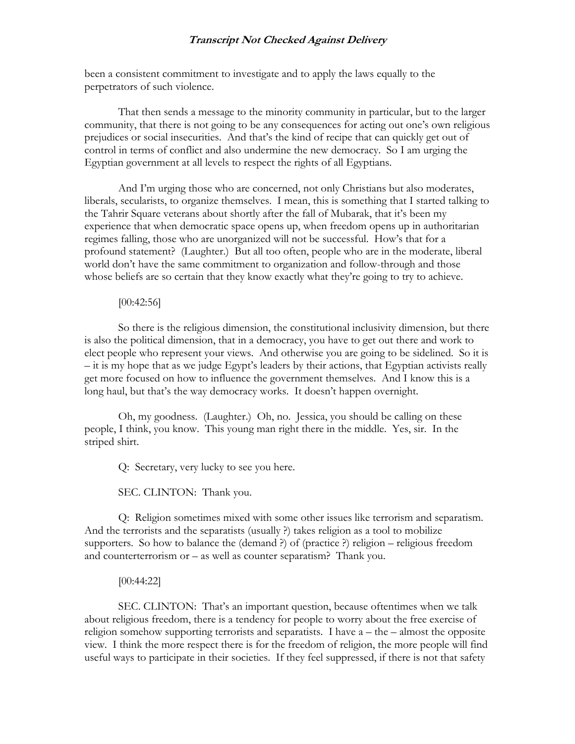been a consistent commitment to investigate and to apply the laws equally to the perpetrators of such violence.

That then sends a message to the minority community in particular, but to the larger community, that there is not going to be any consequences for acting out one's own religious prejudices or social insecurities. And that's the kind of recipe that can quickly get out of control in terms of conflict and also undermine the new democracy. So I am urging the Egyptian government at all levels to respect the rights of all Egyptians.

And I'm urging those who are concerned, not only Christians but also moderates, liberals, secularists, to organize themselves. I mean, this is something that I started talking to the Tahrir Square veterans about shortly after the fall of Mubarak, that it's been my experience that when democratic space opens up, when freedom opens up in authoritarian regimes falling, those who are unorganized will not be successful. How's that for a profound statement? (Laughter.) But all too often, people who are in the moderate, liberal world don't have the same commitment to organization and follow-through and those whose beliefs are so certain that they know exactly what they're going to try to achieve.

#### [00:42:56]

So there is the religious dimension, the constitutional inclusivity dimension, but there is also the political dimension, that in a democracy, you have to get out there and work to elect people who represent your views. And otherwise you are going to be sidelined. So it is – it is my hope that as we judge Egypt's leaders by their actions, that Egyptian activists really get more focused on how to influence the government themselves. And I know this is a long haul, but that's the way democracy works. It doesn't happen overnight.

Oh, my goodness. (Laughter.) Oh, no. Jessica, you should be calling on these people, I think, you know. This young man right there in the middle. Yes, sir. In the striped shirt.

Q: Secretary, very lucky to see you here.

SEC. CLINTON: Thank you.

Q: Religion sometimes mixed with some other issues like terrorism and separatism. And the terrorists and the separatists (usually ?) takes religion as a tool to mobilize supporters. So how to balance the (demand ?) of (practice ?) religion – religious freedom and counterterrorism or – as well as counter separatism? Thank you.

[00:44:22]

SEC. CLINTON: That's an important question, because oftentimes when we talk about religious freedom, there is a tendency for people to worry about the free exercise of religion somehow supporting terrorists and separatists. I have a – the – almost the opposite view. I think the more respect there is for the freedom of religion, the more people will find useful ways to participate in their societies. If they feel suppressed, if there is not that safety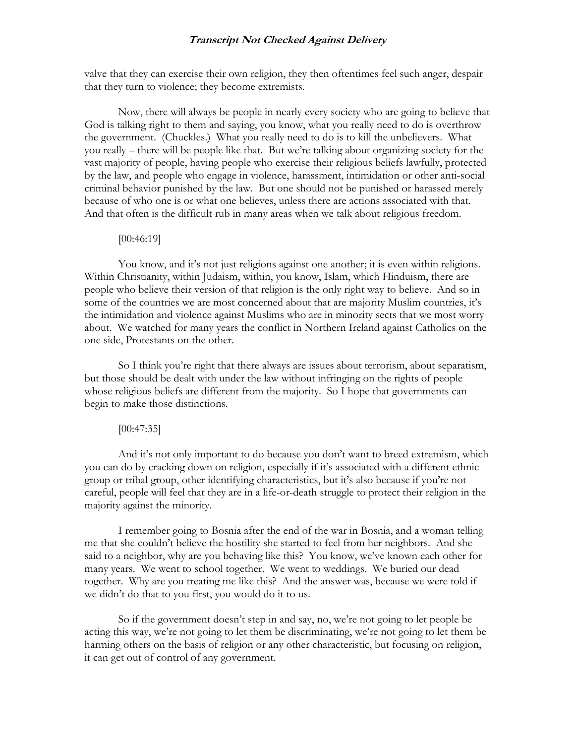valve that they can exercise their own religion, they then oftentimes feel such anger, despair that they turn to violence; they become extremists.

Now, there will always be people in nearly every society who are going to believe that God is talking right to them and saying, you know, what you really need to do is overthrow the government. (Chuckles.) What you really need to do is to kill the unbelievers. What you really – there will be people like that. But we're talking about organizing society for the vast majority of people, having people who exercise their religious beliefs lawfully, protected by the law, and people who engage in violence, harassment, intimidation or other anti-social criminal behavior punished by the law. But one should not be punished or harassed merely because of who one is or what one believes, unless there are actions associated with that. And that often is the difficult rub in many areas when we talk about religious freedom.

#### [00:46:19]

You know, and it's not just religions against one another; it is even within religions. Within Christianity, within Judaism, within, you know, Islam, which Hinduism, there are people who believe their version of that religion is the only right way to believe. And so in some of the countries we are most concerned about that are majority Muslim countries, it's the intimidation and violence against Muslims who are in minority sects that we most worry about. We watched for many years the conflict in Northern Ireland against Catholics on the one side, Protestants on the other.

So I think you're right that there always are issues about terrorism, about separatism, but those should be dealt with under the law without infringing on the rights of people whose religious beliefs are different from the majority. So I hope that governments can begin to make those distinctions.

#### [00:47:35]

And it's not only important to do because you don't want to breed extremism, which you can do by cracking down on religion, especially if it's associated with a different ethnic group or tribal group, other identifying characteristics, but it's also because if you're not careful, people will feel that they are in a life-or-death struggle to protect their religion in the majority against the minority.

I remember going to Bosnia after the end of the war in Bosnia, and a woman telling me that she couldn't believe the hostility she started to feel from her neighbors. And she said to a neighbor, why are you behaving like this? You know, we've known each other for many years. We went to school together. We went to weddings. We buried our dead together. Why are you treating me like this? And the answer was, because we were told if we didn't do that to you first, you would do it to us.

So if the government doesn't step in and say, no, we're not going to let people be acting this way, we're not going to let them be discriminating, we're not going to let them be harming others on the basis of religion or any other characteristic, but focusing on religion, it can get out of control of any government.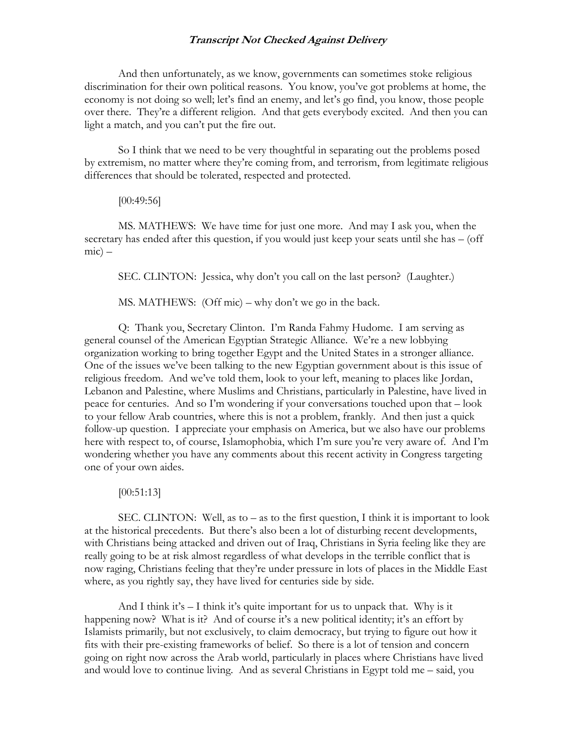And then unfortunately, as we know, governments can sometimes stoke religious discrimination for their own political reasons. You know, you've got problems at home, the economy is not doing so well; let's find an enemy, and let's go find, you know, those people over there. They're a different religion. And that gets everybody excited. And then you can light a match, and you can't put the fire out.

So I think that we need to be very thoughtful in separating out the problems posed by extremism, no matter where they're coming from, and terrorism, from legitimate religious differences that should be tolerated, respected and protected.

[00:49:56]

MS. MATHEWS: We have time for just one more. And may I ask you, when the secretary has ended after this question, if you would just keep your seats until she has – (off  $mic$ ) –

SEC. CLINTON: Jessica, why don't you call on the last person? (Laughter.)

MS. MATHEWS: (Off mic) – why don't we go in the back.

Q: Thank you, Secretary Clinton. I'm Randa Fahmy Hudome. I am serving as general counsel of the American Egyptian Strategic Alliance. We're a new lobbying organization working to bring together Egypt and the United States in a stronger alliance. One of the issues we've been talking to the new Egyptian government about is this issue of religious freedom. And we've told them, look to your left, meaning to places like Jordan, Lebanon and Palestine, where Muslims and Christians, particularly in Palestine, have lived in peace for centuries. And so I'm wondering if your conversations touched upon that – look to your fellow Arab countries, where this is not a problem, frankly. And then just a quick follow-up question. I appreciate your emphasis on America, but we also have our problems here with respect to, of course, Islamophobia, which I'm sure you're very aware of. And I'm wondering whether you have any comments about this recent activity in Congress targeting one of your own aides.

[00:51:13]

SEC. CLINTON: Well, as to – as to the first question, I think it is important to look at the historical precedents. But there's also been a lot of disturbing recent developments, with Christians being attacked and driven out of Iraq, Christians in Syria feeling like they are really going to be at risk almost regardless of what develops in the terrible conflict that is now raging, Christians feeling that they're under pressure in lots of places in the Middle East where, as you rightly say, they have lived for centuries side by side.

And I think it's  $-1$  think it's quite important for us to unpack that. Why is it happening now? What is it? And of course it's a new political identity; it's an effort by Islamists primarily, but not exclusively, to claim democracy, but trying to figure out how it fits with their pre-existing frameworks of belief. So there is a lot of tension and concern going on right now across the Arab world, particularly in places where Christians have lived and would love to continue living. And as several Christians in Egypt told me – said, you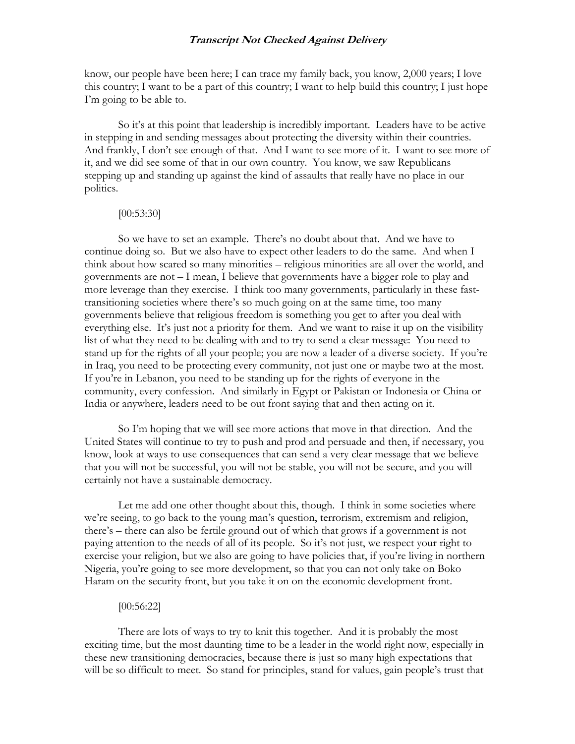know, our people have been here; I can trace my family back, you know, 2,000 years; I love this country; I want to be a part of this country; I want to help build this country; I just hope I'm going to be able to.

So it's at this point that leadership is incredibly important. Leaders have to be active in stepping in and sending messages about protecting the diversity within their countries. And frankly, I don't see enough of that. And I want to see more of it. I want to see more of it, and we did see some of that in our own country. You know, we saw Republicans stepping up and standing up against the kind of assaults that really have no place in our politics.

#### [00:53:30]

So we have to set an example. There's no doubt about that. And we have to continue doing so. But we also have to expect other leaders to do the same. And when I think about how scared so many minorities – religious minorities are all over the world, and governments are not – I mean, I believe that governments have a bigger role to play and more leverage than they exercise. I think too many governments, particularly in these fasttransitioning societies where there's so much going on at the same time, too many governments believe that religious freedom is something you get to after you deal with everything else. It's just not a priority for them. And we want to raise it up on the visibility list of what they need to be dealing with and to try to send a clear message: You need to stand up for the rights of all your people; you are now a leader of a diverse society. If you're in Iraq, you need to be protecting every community, not just one or maybe two at the most. If you're in Lebanon, you need to be standing up for the rights of everyone in the community, every confession. And similarly in Egypt or Pakistan or Indonesia or China or India or anywhere, leaders need to be out front saying that and then acting on it.

So I'm hoping that we will see more actions that move in that direction. And the United States will continue to try to push and prod and persuade and then, if necessary, you know, look at ways to use consequences that can send a very clear message that we believe that you will not be successful, you will not be stable, you will not be secure, and you will certainly not have a sustainable democracy.

Let me add one other thought about this, though. I think in some societies where we're seeing, to go back to the young man's question, terrorism, extremism and religion, there's – there can also be fertile ground out of which that grows if a government is not paying attention to the needs of all of its people. So it's not just, we respect your right to exercise your religion, but we also are going to have policies that, if you're living in northern Nigeria, you're going to see more development, so that you can not only take on Boko Haram on the security front, but you take it on on the economic development front.

#### [00:56:22]

There are lots of ways to try to knit this together. And it is probably the most exciting time, but the most daunting time to be a leader in the world right now, especially in these new transitioning democracies, because there is just so many high expectations that will be so difficult to meet. So stand for principles, stand for values, gain people's trust that